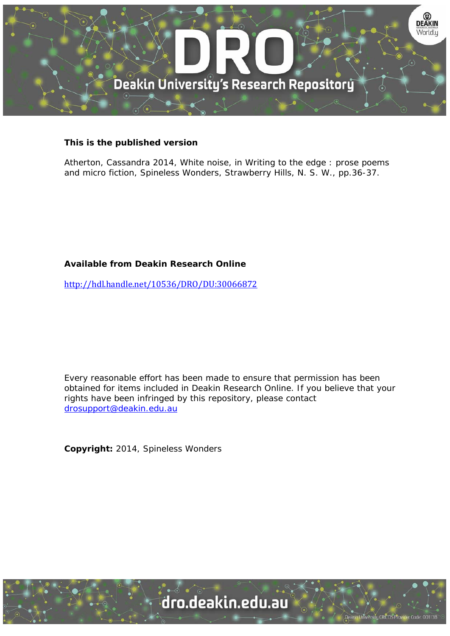

## **This is the published version**

Atherton, Cassandra 2014, White noise, in Writing to the edge : prose poems and micro fiction, Spineless Wonders, Strawberry Hills, N. S. W., pp.36-37.

## **Available from Deakin Research Online**

http://hdl.handle.net/10536/DRO/DU:30066872

Every reasonable effort has been made to ensure that permission has been obtained for items included in Deakin Research Online. If you believe that your rights have been infringed by this repository, please contact drosupport@deakin.edu.au

**Copyright:** 2014, Spineless Wonders



University CRICOS Provider Code: 00113B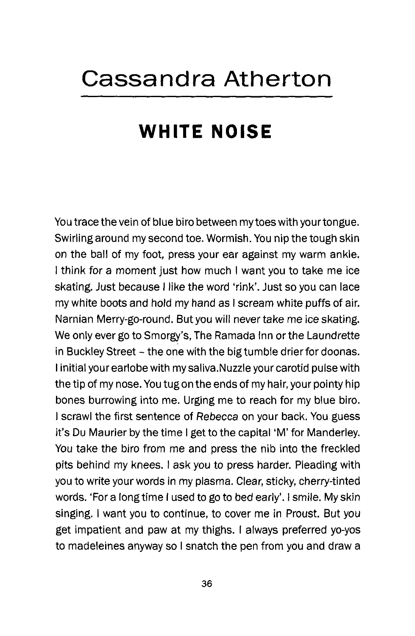## **Cassandra Atherton**

## **WHITE NOISE**

You trace the vein of blue biro between my toes with your tongue. Swirling around my second toe. Wormish. You nip the tough skin on the ball of my foot, press your ear against my warm ankle. I think for a moment just how much I want you to take me ice skating. Just because I like the word 'rink'. Just so you can lace my white boots and hold my hand as I scream white puffs of air. Narnian Merry-go-round. But you will never take me ice skating. We only ever go to Smorgy's, The Ramada Inn or the Laundrette in Buckley Street - the one with the big tumble drier for doonas. I initial your earlobe with my saliva.Nuzzle your carotid pulse with the tip of my nose. You tug on the ends of my hair, your pointy hip bones burrowing into me. Urging me to reach for my blue biro. I scrawl the first sentence of Rebecca on your back. You guess it's Du Maurier by the time I get to the capital 'M' for Manderley. You take the biro from me and press the nib into the freckled pits behind my knees. I ask you to press harder. Pleading with you to write your words in my plasma. Clear, sticky, cherry-tinted words. 'For a longtime I used to go to bed early'. I smile. My skin singing. I want you to continue, to cover me in Proust. But you get impatient and paw at my thighs. I always preferred yo-yos to madeleines anyway so I snatch the pen from you and draw a